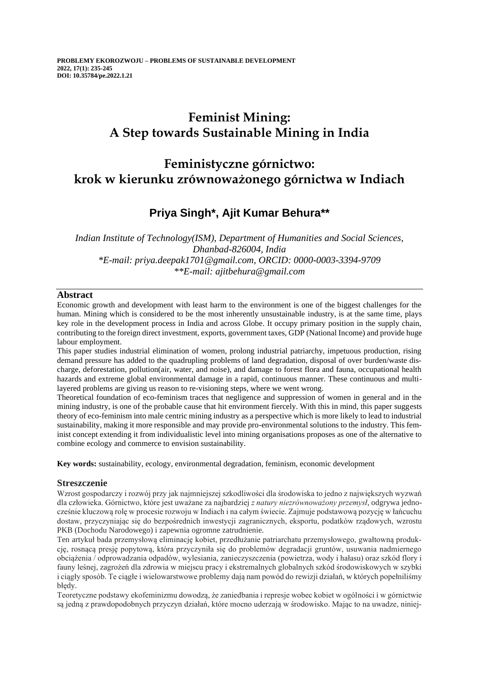# **Feminist Mining: A Step towards Sustainable Mining in India**

# **Feministyczne górnictwo: krok w kierunku zrównoważonego górnictwa w Indiach**

## **Priya Singh\*, Ajit Kumar Behura\*\***

*Indian Institute of Technology(ISM), Department of Humanities and Social Sciences, Dhanbad-826004, India \*E-mail: priya.deepak1701@gmail.com, ORCID: 0000-0003-3394-9709 \*\*E-mail: ajitbehura@gmail.com*

## **Abstract**

Economic growth and development with least harm to the environment is one of the biggest challenges for the human. Mining which is considered to be the most inherently unsustainable industry, is at the same time, plays key role in the development process in India and across Globe. It occupy primary position in the supply chain, contributing to the foreign direct investment, exports, government taxes, GDP (National Income) and provide huge labour employment.

This paper studies industrial elimination of women, prolong industrial patriarchy, impetuous production, rising demand pressure has added to the quadrupling problems of land degradation, disposal of over burden/waste discharge, deforestation, pollution(air, water, and noise), and damage to forest flora and fauna, occupational health hazards and extreme global environmental damage in a rapid, continuous manner. These continuous and multilayered problems are giving us reason to re-visioning steps, where we went wrong.

Theoretical foundation of eco-feminism traces that negligence and suppression of women in general and in the mining industry, is one of the probable cause that hit environment fiercely. With this in mind, this paper suggests theory of eco-feminism into male centric mining industry as a perspective which is more likely to lead to industrial sustainability, making it more responsible and may provide pro-environmental solutions to the industry. This feminist concept extending it from individualistic level into mining organisations proposes as one of the alternative to combine ecology and commerce to envision sustainability.

**Key words:** sustainability, ecology, environmental degradation, feminism, economic development

## **Streszczenie**

Wzrost gospodarczy i rozwój przy jak najmniejszej szkodliwości dla środowiska to jedno z największych wyzwań dla człowieka. Górnictwo, które jest uważane za najbardziej *z natury niezrównoważony przemysł*, odgrywa jednocześnie kluczową rolę w procesie rozwoju w Indiach i na całym świecie. Zajmuje podstawową pozycję w łańcuchu dostaw, przyczyniając się do bezpośrednich inwestycji zagranicznych, eksportu, podatków rządowych, wzrostu PKB (Dochodu Narodowego) i zapewnia ogromne zatrudnienie.

Ten artykuł bada przemysłową eliminację kobiet, przedłużanie patriarchatu przemysłowego, gwałtowną produkcję, rosnącą presję popytową, która przyczyniła się do problemów degradacji gruntów, usuwania nadmiernego obciążenia / odprowadzania odpadów, wylesiania, zanieczyszczenia (powietrza, wody i hałasu) oraz szkód flory i fauny leśnej, zagrożeń dla zdrowia w miejscu pracy i ekstremalnych globalnych szkód środowiskowych w szybki i ciągły sposób. Te ciągłe i wielowarstwowe problemy dają nam powód do rewizji działań, w których popełniliśmy błędy.

Teoretyczne podstawy ekofeminizmu dowodzą, że zaniedbania i represje wobec kobiet w ogólności i w górnictwie są jedną z prawdopodobnych przyczyn działań, które mocno uderzają w środowisko. Mając to na uwadze, niniej-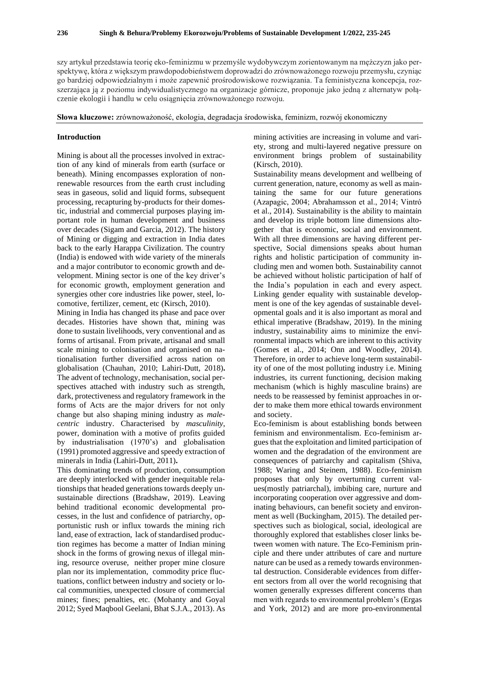szy artykuł przedstawia teorię eko-feminizmu w przemyśle wydobywczym zorientowanym na mężczyzn jako perspektywę, która z większym prawdopodobieństwem doprowadzi do zrównoważonego rozwoju przemysłu, czyniąc go bardziej odpowiedzialnym i może zapewnić prośrodowiskowe rozwiązania. Ta feministyczna koncepcja, rozszerzająca ją z poziomu indywidualistycznego na organizacje górnicze, proponuje jako jedną z alternatyw połączenie ekologii i handlu w celu osiągnięcia zrównoważonego rozwoju.

**Słowa kluczowe:** zrównoważoność, ekologia, degradacja środowiska, feminizm, rozwój ekonomiczny

#### **Introduction**

Mining is about all the processes involved in extraction of any kind of minerals from earth (surface or beneath). Mining encompasses exploration of nonrenewable resources from the earth crust including seas in gaseous, solid and liquid forms, subsequent processing, recapturing by-products for their domestic, industrial and commercial purposes playing important role in human development and business over decades (Sigam and Garcia, 2012). The history of Mining or digging and extraction in India dates back to the early Harappa Civilization. The country (India) is endowed with wide variety of the minerals and a major contributor to economic growth and development. Mining sector is one of the key driver's for economic growth, employment generation and synergies other core industries like power, steel, locomotive, fertilizer, cement, etc (Kirsch, 2010).

Mining in India has changed its phase and pace over decades. Histories have shown that, mining was done to sustain livelihoods, very conventional and as forms of artisanal. From private, artisanal and small scale mining to colonisation and organised on nationalisation further diversified across nation on globalisation (Chauhan, 2010; Lahiri-Dutt, 2018)**.** The advent of technology, mechanisation, social perspectives attached with industry such as strength, dark, protectiveness and regulatory framework in the forms of Acts are the major drivers for not only change but also shaping mining industry as *malecentric* industry. Characterised by *masculinity*, power, domination with a motive of profits guided by industrialisation (1970's) and globalisation (1991) promoted aggressive and speedy extraction of minerals in India (Lahiri-Dutt, 2011)**.**

This dominating trends of production, consumption are deeply interlocked with gender inequitable relationships that headed generations towards deeply unsustainable directions (Bradshaw, 2019). Leaving behind traditional economic developmental processes, in the lust and confidence of patriarchy, opportunistic rush or influx towards the mining rich land, ease of extraction, lack of standardised production regimes has become a matter of Indian mining shock in the forms of growing nexus of illegal mining, resource overuse, neither proper mine closure plan nor its implementation, commodity price fluctuations, conflict between industry and society or local communities, unexpected closure of commercial mines; fines; penalties, etc. (Mohanty and Goyal 2012; Syed Maqbool Geelani, Bhat S.J.A., 2013). As

mining activities are increasing in volume and variety, strong and multi-layered negative pressure on environment brings problem of sustainability (Kirsch, 2010).

Sustainability means development and wellbeing of current generation, nature, economy as well as maintaining the same for our future generations (Azapagic, 2004; Abrahamsson et al., 2014; Vintró et al., 2014). Sustainability is the ability to maintain and develop its triple bottom line dimensions altogether that is economic, social and environment. With all three dimensions are having different perspective, Social dimensions speaks about human rights and holistic participation of community including men and women both. Sustainability cannot be achieved without holistic participation of half of the India's population in each and every aspect. Linking gender equality with sustainable development is one of the key agendas of sustainable developmental goals and it is also important as moral and ethical imperative (Bradshaw, 2019). In the mining industry, sustainability aims to minimize the environmental impacts which are inherent to this activity (Gomes et al., 2014; Onn and Woodley, 2014). Therefore, in order to achieve long-term sustainability of one of the most polluting industry i.e. Mining industries, its current functioning, decision making mechanism (which is highly masculine brains) are needs to be reassessed by feminist approaches in order to make them more ethical towards environment and society.

Eco-feminism is about establishing bonds between feminism and environmentalism. Eco-feminism argues that the exploitation and limited participation of women and the degradation of the environment are consequences of patriarchy and capitalism (Shiva, 1988; Waring and Steinem, 1988). Eco-feminism proposes that only by overturning current values(mostly patriarchal), imbibing care, nurture and incorporating cooperation over aggressive and dominating behaviours, can benefit society and environment as well (Buckingham, 2015). The detailed perspectives such as biological, social, ideological are thoroughly explored that establishes closer links between women with nature. The Eco-Feminism principle and there under attributes of care and nurture nature can be used as a remedy towards environmental destruction. Considerable evidences from different sectors from all over the world recognising that women generally expresses different concerns than men with regards to environmental problem's (Ergas and York, 2012) and are more pro-environmental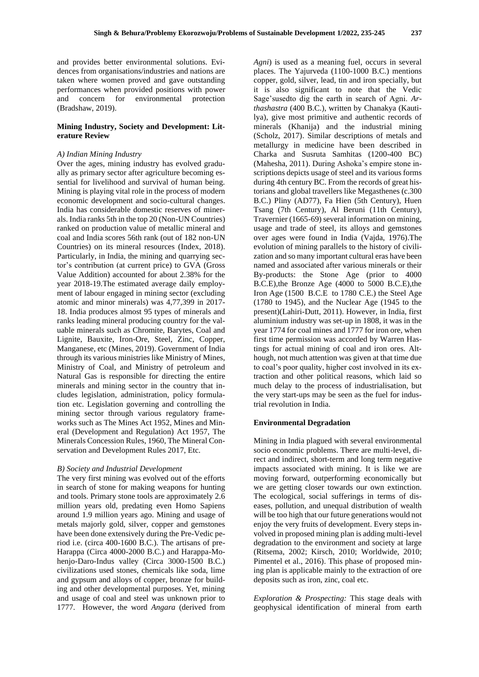and provides better environmental solutions. Evidences from organisations/industries and nations are taken where women proved and gave outstanding performances when provided positions with power and concern for environmental protection (Bradshaw, 2019).

## **Mining Industry, Society and Development: Literature Review**

## *A) Indian Mining Industry*

Over the ages, mining industry has evolved gradually as primary sector after agriculture becoming essential for livelihood and survival of human being. Mining is playing vital role in the process of modern economic development and socio-cultural changes. India has considerable domestic reserves of minerals. India ranks 5th in the top 20 (Non-UN Countries) ranked on production value of metallic mineral and coal and India scores 56th rank (out of 182 non-UN Countries) on its mineral resources (Index, 2018). Particularly, in India, the mining and quarrying sector's contribution (at current price) to GVA (Gross Value Addition) accounted for about 2.38% for the year 2018-19.The estimated average daily employment of labour engaged in mining sector (excluding atomic and minor minerals) was 4,77,399 in 2017- 18. India produces almost 95 types of minerals and ranks leading mineral producing country for the valuable minerals such as Chromite, Barytes, Coal and Lignite, Bauxite, Iron-Ore, Steel, Zinc, Copper, Manganese, etc (Mines, 2019). Government of India through its various ministries like Ministry of Mines, Ministry of Coal, and Ministry of petroleum and Natural Gas is responsible for directing the entire minerals and mining sector in the country that includes legislation, administration, policy formulation etc. Legislation governing and controlling the mining sector through various regulatory frameworks such as The Mines Act 1952, Mines and Mineral (Development and Regulation) Act 1957, The Minerals Concession Rules, 1960, The Mineral Conservation and Development Rules 2017, Etc.

#### *B) Society and Industrial Development*

The very first mining was evolved out of the efforts in search of stone for making weapons for hunting and tools. Primary stone tools are approximately 2.6 million years old, predating even Homo Sapiens around 1.9 million years ago. Mining and usage of metals majorly gold, silver, copper and gemstones have been done extensively during the Pre-Vedic period i.e. (circa 400-1600 B.C.). The artisans of pre-Harappa (Circa 4000-2000 B.C.) and Harappa-Mohenjo-Daro-Indus valley (Circa 3000-1500 B.C.) civilizations used stones, chemicals like soda, lime and gypsum and alloys of copper, bronze for building and other developmental purposes. Yet, mining and usage of coal and steel was unknown prior to 1777. However, the word *Angara* (derived from

*Agni*) is used as a meaning fuel, occurs in several places. The Yajurveda (1100-1000 B.C.) mentions copper, gold, silver, lead, tin and iron specially, but it is also significant to note that the Vedic Sage'susedto dig the earth in search of Agni. *Arthashastra* (400 B.C.), written by Chanakya (Kautilya), give most primitive and authentic records of minerals (Khanija) and the industrial mining (Scholz, 2017). Similar descriptions of metals and metallurgy in medicine have been described in Charka and Susruta Samhitas (1200-400 BC) (Mahesha, 2011). During Ashoka's empire stone inscriptions depicts usage of steel and its various forms during 4th century BC. From the records of great historians and global travellers like Megasthenes (c.300 B.C.) Pliny (AD77), Fa Hien (5th Century), Huen Tsang (7th Century), Al Beruni (11th Century), Travernier (1665-69) several information on mining, usage and trade of steel, its alloys and gemstones over ages were found in India (Vajda, 1976).The evolution of mining parallels to the history of civilization and so many important cultural eras have been named and associated after various minerals or their By-products: the Stone Age (prior to 4000 B.C.E),the Bronze Age (4000 to 5000 B.C.E),the Iron Age (1500 B.C.E to 1780 C.E.) the Steel Age (1780 to 1945), and the Nuclear Age (1945 to the present)(Lahiri-Dutt, 2011). However, in India, first aluminium industry was set-up in 1808, it was in the year 1774 for coal mines and 1777 for iron ore, when first time permission was accorded by Warren Hastings for actual mining of coal and iron ores. Although, not much attention was given at that time due to coal's poor quality, higher cost involved in its extraction and other political reasons, which laid so much delay to the process of industrialisation, but the very start-ups may be seen as the fuel for industrial revolution in India.

#### **Environmental Degradation**

Mining in India plagued with several environmental socio economic problems. There are multi-level, direct and indirect, short-term and long term negative impacts associated with mining. It is like we are moving forward, outperforming economically but we are getting closer towards our own extinction. The ecological, social sufferings in terms of diseases, pollution, and unequal distribution of wealth will be too high that our future generations would not enjoy the very fruits of development. Every steps involved in proposed mining plan is adding multi-level degradation to the environment and society at large (Ritsema, 2002; Kirsch, 2010; Worldwide, 2010; Pimentel et al., 2016). This phase of proposed mining plan is applicable mainly to the extraction of ore deposits such as iron, zinc, coal etc.

*Exploration & Prospecting:* This stage deals with geophysical identification of mineral from earth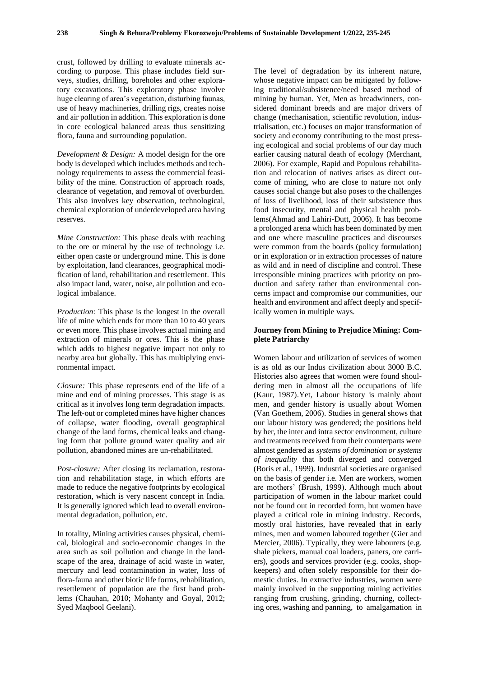crust, followed by drilling to evaluate minerals according to purpose. This phase includes field surveys, studies, drilling, boreholes and other exploratory excavations. This exploratory phase involve huge clearing of area's vegetation, disturbing faunas, use of heavy machineries, drilling rigs, creates noise and air pollution in addition. This exploration is done in core ecological balanced areas thus sensitizing flora, fauna and surrounding population.

*Development & Design:* A model design for the ore body is developed which includes methods and technology requirements to assess the commercial feasibility of the mine. Construction of approach roads, clearance of vegetation, and removal of overburden. This also involves key observation, technological, chemical exploration of underdeveloped area having reserves.

*Mine Construction:* This phase deals with reaching to the ore or mineral by the use of technology i.e. either open caste or underground mine. This is done by exploitation, land clearances, geographical modification of land, rehabilitation and resettlement. This also impact land, water, noise, air pollution and ecological imbalance.

*Production:* This phase is the longest in the overall life of mine which ends for more than 10 to 40 years or even more. This phase involves actual mining and extraction of minerals or ores. This is the phase which adds to highest negative impact not only to nearby area but globally. This has multiplying environmental impact.

*Closure:* This phase represents end of the life of a mine and end of mining processes. This stage is as critical as it involves long term degradation impacts. The left-out or completed mines have higher chances of collapse, water flooding, overall geographical change of the land forms, chemical leaks and changing form that pollute ground water quality and air pollution, abandoned mines are un-rehabilitated.

*Post-closure:* After closing its reclamation, restoration and rehabilitation stage, in which efforts are made to reduce the negative footprints by ecological restoration, which is very nascent concept in India. It is generally ignored which lead to overall environmental degradation, pollution, etc.

In totality, Mining activities causes physical, chemical, biological and socio-economic changes in the area such as soil pollution and change in the landscape of the area, drainage of acid waste in water, mercury and lead contamination in water, loss of flora-fauna and other biotic life forms, rehabilitation, resettlement of population are the first hand problems (Chauhan, 2010; Mohanty and Goyal, 2012; Syed Maqbool Geelani).

The level of degradation by its inherent nature, whose negative impact can be mitigated by following traditional/subsistence/need based method of mining by human. Yet, Men as breadwinners, considered dominant breeds and are major drivers of change (mechanisation, scientific revolution, industrialisation, etc.) focuses on major transformation of society and economy contributing to the most pressing ecological and social problems of our day much earlier causing natural death of ecology (Merchant, 2006). For example, Rapid and Populous rehabilitation and relocation of natives arises as direct outcome of mining, who are close to nature not only causes social change but also poses to the challenges of loss of livelihood, loss of their subsistence thus food insecurity, mental and physical health problems(Ahmad and Lahiri-Dutt, 2006). It has become a prolonged arena which has been dominated by men and one where masculine practices and discourses were common from the boards (policy formulation) or in exploration or in extraction processes of nature as wild and in need of discipline and control. These irresponsible mining practices with priority on production and safety rather than environmental concerns impact and compromise our communities, our health and environment and affect deeply and specifically women in multiple ways.

## **Journey from Mining to Prejudice Mining: Complete Patriarchy**

Women labour and utilization of services of women is as old as our Indus civilization about 3000 B.C. Histories also agrees that women were found shouldering men in almost all the occupations of life (Kaur, 1987).Yet, Labour history is mainly about men, and gender history is usually about Women (Van Goethem, 2006). Studies in general shows that our labour history was gendered; the positions held by her, the inter and intra sector environment, culture and treatments received from their counterparts were almost gendered as *systems of domination or systems of inequality* that both diverged and converged (Boris et al., 1999). Industrial societies are organised on the basis of gender i.e. Men are workers, women are mothers' (Brush, 1999). Although much about participation of women in the labour market could not be found out in recorded form, but women have played a critical role in mining industry. Records, mostly oral histories, have revealed that in early mines, men and women laboured together (Gier and Mercier, 2006). Typically, they were labourers (e.g. shale pickers, manual coal loaders, paners, ore carriers), goods and services provider (e.g. cooks, shopkeepers) and often solely responsible for their domestic duties. In extractive industries, women were mainly involved in the supporting mining activities ranging from crushing, grinding, churning, collecting ores, washing and panning, to amalgamation in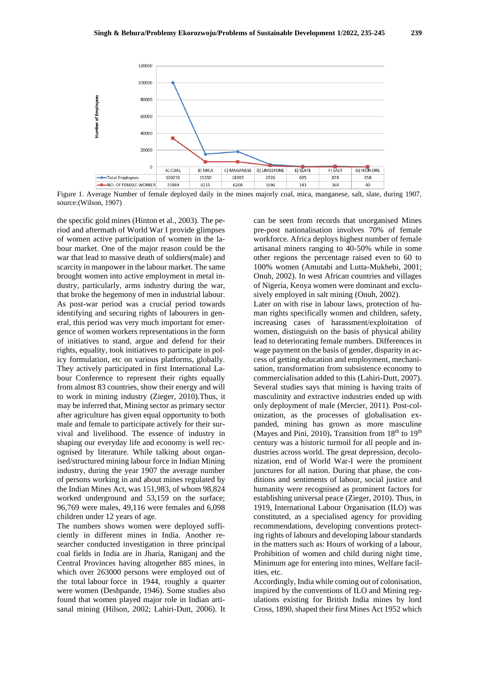

Figure 1. Average Number of female deployed daily in the mines majorly coal, mica, manganese, salt, slate, during 1907, source:(Wilson, 1907)

the specific gold mines (Hinton et al., 2003). The period and aftermath of World War I provide glimpses of women active participation of women in the labour market. One of the major reason could be the war that lead to massive death of soldiers(male) and scarcity in manpower in the labour market. The same brought women into active employment in metal industry, particularly, arms industry during the war, that broke the hegemony of men in industrial labour. As post-war period was a crucial period towards identifying and securing rights of labourers in general, this period was very much important for emergence of women workers representations in the form of initiatives to stand, argue and defend for their rights, equality, took initiatives to participate in policy formulation, etc on various platforms, globally. They actively participated in first International Labour Conference to represent their rights equally from almost 83 countries, show their energy and will to work in mining industry (Zieger, 2010).Thus, it may be inferred that, Mining sector as primary sector after agriculture has given equal opportunity to both male and female to participate actively for their survival and livelihood. The essence of industry in shaping our everyday life and economy is well recognised by literature. While talking about organised/structured mining labour force in Indian Mining industry, during the year 1907 the average number of persons working in and about mines regulated by the Indian Mines Act, was 151,983, of whom 98,824 worked underground and 53,159 on the surface; 96,769 were males, 49,116 were females and 6,098 children under 12 years of age.

The numbers shows women were deployed sufficiently in different mines in India. Another researcher conducted investigation in three principal coal fields in India are in Jharia, Raniganj and the Central Provinces having altogether 885 mines, in which over 263000 persons were employed out of the total labour force in 1944, roughly a quarter were women (Deshpande, 1946). Some studies also found that women played major role in Indian artisanal mining (Hilson, 2002; Lahiri-Dutt, 2006). It

can be seen from records that unorganised Mines pre-post nationalisation involves 70% of female workforce. Africa deploys highest number of female artisanal miners ranging to 40-50% while in some other regions the percentage raised even to 60 to 100% women (Amutabi and Lutta-Mukhebi, 2001; Onuh, 2002). In west African countries and villages of Nigeria, Kenya women were dominant and exclusively employed in salt mining (Onuh, 2002). Later on with rise in labour laws, protection of human rights specifically women and children, safety, increasing cases of harassment/exploitation of women, distinguish on the basis of physical ability lead to deteriorating female numbers. Differences in wage payment on the basis of gender, disparity in access of getting education and employment, mechanisation, transformation from subsistence economy to commercialisation added to this (Lahiri-Dutt, 2007). Several studies says that mining is having traits of masculinity and extractive industries ended up with only deployment of male (Mercier, 2011). Post-colonization, as the processes of globalisation expanded, mining has grown as more masculine (Mayes and Pini, 2010). Transition from 18<sup>th</sup> to 19<sup>th</sup> century was a historic turmoil for all people and industries across world. The great depression, decolonization, end of World War-I were the prominent junctures for all nation. During that phase, the conditions and sentiments of labour, social justice and humanity were recognised as prominent factors for establishing universal peace (Zieger, 2010). Thus, in 1919, International Labour Organisation (ILO) was constituted, as a specialised agency for providing recommendations, developing conventions protecting rights of labours and developing labour standards in the matters such as: Hours of working of a labour*,*  Prohibition of women and child during night time*,*  Minimum age for entering into mines*,* Welfare facilities, etc.

Accordingly, India while coming out of colonisation, inspired by the conventions of ILO and Mining regulations existing for British India mines by lord Cross, 1890, shaped their first Mines Act 1952 which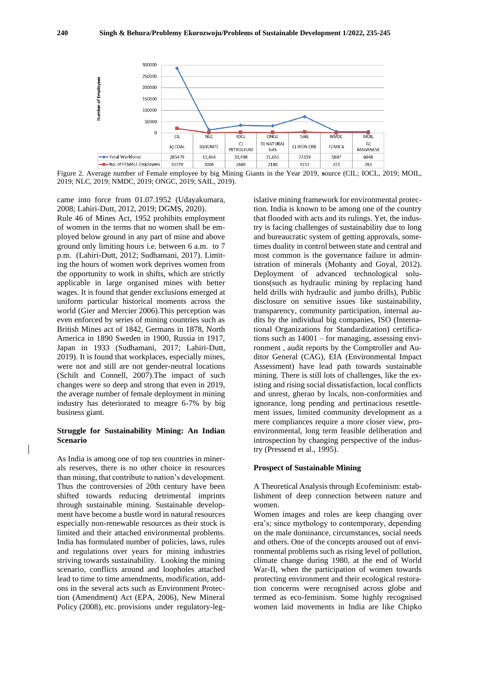

Figure 2. Average number of Female employee by big Mining Giants in the Year 2019, **s**ource (CIL; IOCL, 2019; MOIL, 2019; NLC, 2019; NMDC, 2019; ONGC, 2019; SAIL, 2019).

came into force from 01.07.1952 (Udayakumara, 2008; Lahiri-Dutt, 2012, 2019; DGMS, 2020).

Rule 46 of Mines Act, 1952 prohibits employment of women in the terms that no women shall be employed below ground in any part of mine and above ground only limiting hours i.e. between 6 a.m. to 7 p.m. (Lahiri-Dutt, 2012; Sudhamani, 2017). Limiting the hours of women work deprives women from the opportunity to work in shifts, which are strictly applicable in large organised mines with better wages. It is found that gender exclusions emerged at uniform particular historical moments across the world (Gier and Mercier 2006).This perception was even enforced by series of mining countries such as British Mines act of 1842, Germans in 1878, North America in 1890 Sweden in 1900, Russia in 1917, Japan in 1933 (Sudhamani, 2017; Lahiri-Dutt, 2019). It is found that workplaces, especially mines, were not and still are not gender-neutral locations (Schilt and Connell, 2007).The impact of such changes were so deep and strong that even in 2019, the average number of female deployment in mining industry has deteriorated to meagre 6-7% by big business giant.

## **Struggle for Sustainability Mining: An Indian Scenario**

As India is among one of top ten countries in minerals reserves, there is no other choice in resources than mining, that contribute to nation's development. Thus the controversies of 20th century have been shifted towards reducing detrimental imprints through sustainable mining. Sustainable development have become a bustle word in natural resources especially non-renewable resources as their stock is limited and their attached environmental problems*.* India has formulated number of policies, laws, rules and regulations over years for mining industries striving towards sustainability. Looking the mining scenario, conflicts around and loopholes attached lead to time to time amendments, modification, addons in the several acts such as Environment Protection (Amendment) Act (EPA, 2006), New Mineral Policy (2008), etc. provisions under regulatory-legislative mining framework for environmental protection. India is known to be among one of the country that flooded with acts and its rulings. Yet, the industry is facing challenges of sustainability due to long and bureaucratic system of getting approvals, sometimes duality in control between state and central and most common is the governance failure in administration of minerals (Mohanty and Goyal, 2012). Deployment of advanced technological solutions(such as hydraulic mining by replacing hand held drills with hydraulic and jumbo drills), Public disclosure on sensitive issues like sustainability, transparency, community participation, internal audits by the individual big companies, ISO (International Organizations for Standardization) certifications such as 14001 – for managing, assessing environment , audit reports by the Comptroller and Auditor General (CAG), EIA (Environmental Impact Assessment) have lead path towards sustainable mining. There is still lots of challenges, like the existing and rising social dissatisfaction, local conflicts and unrest, gherao by locals, non-conformities and ignorance, long pending and pertinacious resettlement issues, limited community development as a mere compliances require a more closer view, proenvironmental, long term feasible deliberation and introspection by changing perspective of the industry (Pressend et al., 1995).

#### **Prospect of Sustainable Mining**

A Theoretical Analysis through Ecofeminism: establishment of deep connection between nature and women.

Women images and roles are keep changing over era's; since mythology to contemporary, depending on the male dominance, circumstances, social needs and others. One of the concepts aroused out of environmental problems such as rising level of pollution, climate change during 1980, at the end of World War-II, when the participation of women towards protecting environment and their ecological restoration concerns were recognised across globe and termed as eco-feminism. Some highly recognised women laid movements in India are like Chipko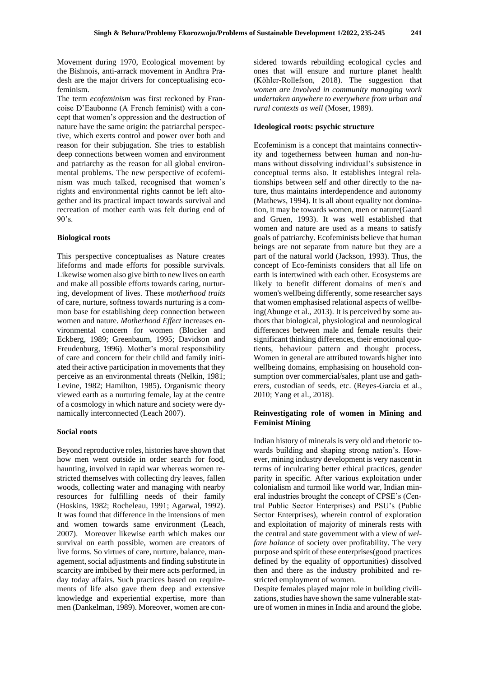Movement during 1970, Ecological movement by the Bishnois, anti-arrack movement in Andhra Pradesh are the major drivers for conceptualising ecofeminism.

The term *ecofeminism* was first reckoned by Francoise D'Eaubonne (A French feminist) with a concept that women's oppression and the destruction of nature have the same origin: the patriarchal perspective, which exerts control and power over both and reason for their subjugation. She tries to establish deep connections between women and environment and patriarchy as the reason for all global environmental problems. The new perspective of ecofeminism was much talked, recognised that women's rights and environmental rights cannot be left altogether and its practical impact towards survival and recreation of mother earth was felt during end of  $90's$ .

#### **Biological roots**

This perspective conceptualises as Nature creates lifeforms and made efforts for possible survivals. Likewise women also give birth to new lives on earth and make all possible efforts towards caring, nurturing, development of lives. These *motherhood traits* of care, nurture, softness towards nurturing is a common base for establishing deep connection between women and nature. *Motherhood Effect* increases environmental concern for women (Blocker and Eckberg, 1989; Greenbaum, 1995; Davidson and Freudenburg, 1996). Mother's moral responsibility of care and concern for their child and family initiated their active participation in movements that they perceive as an environmental threats (Nelkin, 1981; Levine, 1982; Hamilton, 1985)**.** Organismic theory viewed earth as a nurturing female, lay at the centre of a cosmology in which nature and society were dynamically interconnected (Leach 2007).

### **Social roots**

Beyond reproductive roles, histories have shown that how men went outside in order search for food, haunting, involved in rapid war whereas women restricted themselves with collecting dry leaves, fallen woods, collecting water and managing with nearby resources for fulfilling needs of their family (Hoskins, 1982; Rocheleau, 1991; Agarwal, 1992). It was found that difference in the intensions of men and women towards same environment (Leach, 2007). Moreover likewise earth which makes our survival on earth possible, women are creators of live forms. So virtues of care, nurture, balance, management, social adjustments and finding substitute in scarcity are imbibed by their mere acts performed, in day today affairs. Such practices based on requirements of life also gave them deep and extensive knowledge and experiential expertise, more than men (Dankelman, 1989). Moreover, women are con-

sidered towards rebuilding ecological cycles and ones that will ensure and nurture planet health (Köhler-Rollefson, 2018). The suggestion that *women are involved in community managing work undertaken anywhere to everywhere from urban and rural contexts as well* (Moser, 1989).

### **Ideological roots: psychic structure**

Ecofeminism is a concept that maintains connectivity and togetherness between human and non-humans without dissolving individual's subsistence in conceptual terms also. It establishes integral relationships between self and other directly to the nature, thus maintains interdependence and autonomy (Mathews, 1994). It is all about equality not domination, it may be towards women, men or nature(Gaard and Gruen, 1993). It was well established that women and nature are used as a means to satisfy goals of patriarchy. Ecofeminists believe that human beings are not separate from nature but they are a part of the natural world (Jackson, 1993). Thus, the concept of Eco-feminists considers that all life on earth is intertwined with each other. Ecosystems are likely to benefit different domains of men's and women's wellbeing differently, some researcher says that women emphasised relational aspects of wellbeing(Abunge et al., 2013). It is perceived by some authors that biological, physiological and neurological differences between male and female results their significant thinking differences, their emotional quotients, behaviour pattern and thought process. Women in general are attributed towards higher into wellbeing domains, emphasising on household consumption over commercial/sales, plant use and gatherers, custodian of seeds, etc. (Reyes-García et al., 2010; Yang et al., 2018).

## **Reinvestigating role of women in Mining and Feminist Mining**

Indian history of minerals is very old and rhetoric towards building and shaping strong nation's. However, mining industry development is very nascent in terms of inculcating better ethical practices, gender parity in specific. After various exploitation under colonialism and turmoil like world war, Indian mineral industries brought the concept of CPSE's (Central Public Sector Enterprises) and PSU's (Public Sector Enterprises), wherein control of exploration and exploitation of majority of minerals rests with the central and state government with a view of *welfare balance* of society over profitability. The very purpose and spirit of these enterprises(good practices defined by the equality of opportunities) dissolved then and there as the industry prohibited and restricted employment of women.

Despite females played major role in building civilizations, studies have shown the same vulnerable stature of women in mines in India and around the globe.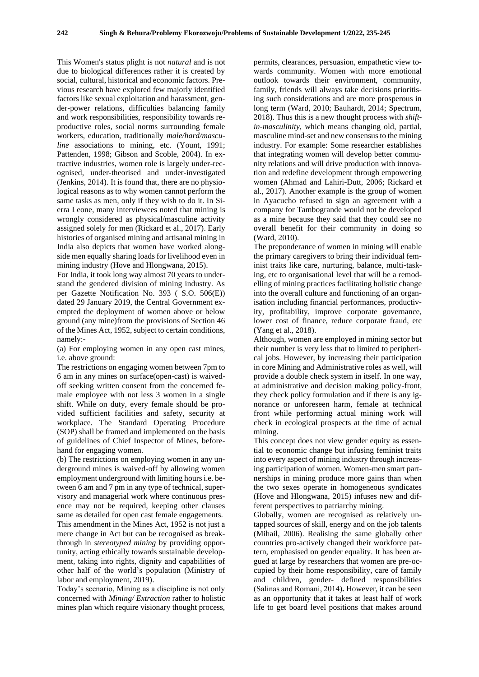This Women's status plight is not *natural* and is not due to biological differences rather it is created by social, cultural, historical and economic factors. Previous research have explored few majorly identified factors like sexual exploitation and harassment, gender-power relations, difficulties balancing family and work responsibilities, responsibility towards reproductive roles, social norms surrounding female workers, education, traditionally *male/hard/masculine* associations to mining, etc. (Yount, 1991; Pattenden, 1998; Gibson and Scoble, 2004). In extractive industries, women role is largely under-recognised, under-theorised and under-investigated (Jenkins, 2014). It is found that, there are no physiological reasons as to why women cannot perform the same tasks as men, only if they wish to do it. In Sierra Leone, many interviewees noted that mining is wrongly considered as physical/masculine activity assigned solely for men (Rickard et al., 2017). Early histories of organised mining and artisanal mining in India also depicts that women have worked alongside men equally sharing loads for livelihood even in mining industry (Hove and Hlongwana, 2015).

For India, it took long way almost 70 years to understand the gendered division of mining industry. As per Gazette Notification No. 393 ( S.O. 506(E)) dated 29 January 2019, the Central Government exempted the deployment of women above or below ground (any mine)from the provisions of Section 46 of the Mines Act, 1952, subject to certain conditions, namely:-

(a) For employing women in any open cast mines, i.e. above ground:

The restrictions on engaging women between 7pm to 6 am in any mines on surface(open-cast) is waivedoff seeking written consent from the concerned female employee with not less 3 women in a single shift. While on duty, every female should be provided sufficient facilities and safety, security at workplace. The Standard Operating Procedure (SOP) shall be framed and implemented on the basis of guidelines of Chief Inspector of Mines, beforehand for engaging women.

(b) The restrictions on employing women in any underground mines is waived-off by allowing women employment underground with limiting hours i.e. between 6 am and 7 pm in any type of technical, supervisory and managerial work where continuous presence may not be required, keeping other clauses same as detailed for open cast female engagements. This amendment in the Mines Act, 1952 is not just a mere change in Act but can be recognised as breakthrough in *stereotyped mining* by providing opportunity, acting ethically towards sustainable development, taking into rights, dignity and capabilities of other half of the world's population (Ministry of labor and employment, 2019).

Today's scenario, Mining as a discipline is not only concerned with *Mining/ Extraction* rather to holistic mines plan which require visionary thought process,

permits, clearances, persuasion, empathetic view towards community. Women with more emotional outlook towards their environment, community, family, friends will always take decisions prioritising such considerations and are more prosperous in long term (Ward, 2010; Bauhardt, 2014; Spectrum, 2018). Thus this is a new thought process with *shiftin-masculinity*, which means changing old, partial, masculine mind-set and new consensus to the mining industry. For example: Some researcher establishes that integrating women will develop better community relations and will drive production with innovation and redefine development through empowering women (Ahmad and Lahiri-Dutt, 2006; Rickard et al., 2017). Another example is the group of women in Ayacucho refused to sign an agreement with a company for Tambogrande would not be developed as a mine because they said that they could see no overall benefit for their community in doing so (Ward, 2010).

The preponderance of women in mining will enable the primary caregivers to bring their individual feminist traits like care, nurturing, balance, multi-tasking, etc to organisational level that will be a remodelling of mining practices facilitating holistic change into the overall culture and functioning of an organisation including financial performances, productivity, profitability, improve corporate governance, lower cost of finance, reduce corporate fraud, etc (Yang et al., 2018).

Although, women are employed in mining sector but their number is very less that to limited to peripherical jobs. However, by increasing their participation in core Mining and Administrative roles as well, will provide a double check system in itself. In one way, at administrative and decision making policy-front, they check policy formulation and if there is any ignorance or unforeseen harm, female at technical front while performing actual mining work will check in ecological prospects at the time of actual mining.

This concept does not view gender equity as essential to economic change but infusing feminist traits into every aspect of mining industry through increasing participation of women. Women-men smart partnerships in mining produce more gains than when the two sexes operate in homogeneous syndicates (Hove and Hlongwana, 2015) infuses new and different perspectives to patriarchy mining.

Globally, women are recognised as relatively untapped sources of skill, energy and on the job talents (Mihail, 2006). Realising the same globally other countries pro-actively changed their workforce pattern, emphasised on gender equality. It has been argued at large by researchers that women are pre-occupied by their home responsibility, care of family and children, gender- defined responsibilities (Salinas and Romaní, 2014)*.* However, it can be seen as an opportunity that it takes at least half of work life to get board level positions that makes around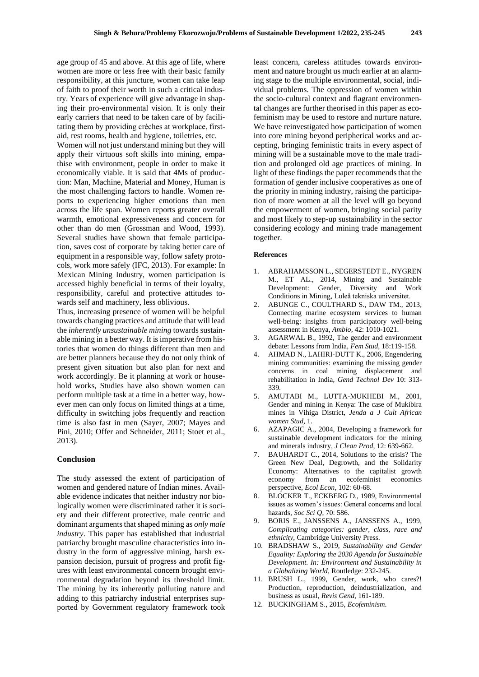age group of 45 and above. At this age of life, where women are more or less free with their basic family responsibility, at this juncture, women can take leap of faith to proof their worth in such a critical industry. Years of experience will give advantage in shaping their pro-environmental vision. It is only their early carriers that need to be taken care of by facilitating them by providing crèches at workplace, firstaid, rest rooms, health and hygiene, toiletries, etc.

Women will not just understand mining but they will apply their virtuous soft skills into mining, empathise with environment, people in order to make it economically viable. It is said that 4Ms of production: Man, Machine, Material and Money, Human is the most challenging factors to handle. Women reports to experiencing higher emotions than men across the life span. Women reports greater overall warmth, emotional expressiveness and concern for other than do men (Grossman and Wood, 1993). Several studies have shown that female participation, saves cost of corporate by taking better care of equipment in a responsible way, follow safety protocols, work more safely (IFC, 2013). For example: In Mexican Mining Industry, women participation is accessed highly beneficial in terms of their loyalty, responsibility, careful and protective attitudes towards self and machinery, less oblivious.

Thus, increasing presence of women will be helpful towards changing practices and attitude that will lead the *inherently unsustainable mining* towards sustainable mining in a better way. It is imperative from histories that women do things different than men and are better planners because they do not only think of present given situation but also plan for next and work accordingly. Be it planning at work or household works, Studies have also shown women can perform multiple task at a time in a better way, however men can only focus on limited things at a time, difficulty in switching jobs frequently and reaction time is also fast in men (Sayer, 2007; Mayes and Pini, 2010; Offer and Schneider, 2011; Stoet et al., 2013).

#### **Conclusion**

The study assessed the extent of participation of women and gendered nature of Indian mines. Available evidence indicates that neither industry nor biologically women were discriminated rather it is society and their different protective, male centric and dominant arguments that shaped mining as *only male industry*. This paper has established that industrial patriarchy brought masculine characteristics into industry in the form of aggressive mining, harsh expansion decision, pursuit of progress and profit figures with least environmental concern brought environmental degradation beyond its threshold limit. The mining by its inherently polluting nature and adding to this patriarchy industrial enterprises supported by Government regulatory framework took

least concern, careless attitudes towards environment and nature brought us much earlier at an alarming stage to the multiple environmental, social, individual problems. The oppression of women within the socio-cultural context and flagrant environmental changes are further theorised in this paper as ecofeminism may be used to restore and nurture nature. We have reinvestigated how participation of women into core mining beyond peripherical works and accepting, bringing feministic traits in every aspect of mining will be a sustainable move to the male tradition and prolonged old age practices of mining. In light of these findings the paper recommends that the formation of gender inclusive cooperatives as one of the priority in mining industry, raising the participation of more women at all the level will go beyond the empowerment of women, bringing social parity and most likely to step-up sustainability in the sector considering ecology and mining trade management together.

#### **References**

- 1. ABRAHAMSSON L., SEGERSTEDT E., NYGREN M., ET AL., 2014, Mining and Sustainable Development: Gender, Diversity and Work Conditions in Mining, Luleå tekniska universitet.
- 2. ABUNGE C., COULTHARD S., DAW TM., 2013, Connecting marine ecosystem services to human well-being: insights from participatory well-being assessment in Kenya, *Ambio,* 42: 1010-1021.
- 3. AGARWAL B., 1992, The gender and environment debate: Lessons from India, *Fem Stud*, 18:119-158.
- 4. AHMAD N., LAHIRI-DUTT K., 2006, Engendering mining communities: examining the missing gender concerns in coal mining displacement and rehabilitation in India, *Gend Technol Dev* 10: 313- 339.
- 5. AMUTABI M., LUTTA-MUKHEBI M., 2001, Gender and mining in Kenya: The case of Mukibira mines in Vihiga District, *Jenda a J Cult African women Stud*, 1.
- 6. AZAPAGIC A., 2004, Developing a framework for sustainable development indicators for the mining and minerals industry, *J Clean Prod,* 12: 639-662.
- 7. BAUHARDT C., 2014, Solutions to the crisis? The Green New Deal, Degrowth, and the Solidarity Economy: Alternatives to the capitalist growth economy from an ecofeminist economics perspective, *Ecol Econ,* 102: 60-68.
- 8. BLOCKER T., ECKBERG D., 1989, Environmental issues as women's issues: General concerns and local hazards, *Soc Sci Q*, 70: 586.
- 9. BORIS E., JANSSENS A., JANSSENS A., 1999, *Complicating categories: gender, class, race and ethnicity*, Cambridge University Press.
- 10. BRADSHAW S., 2019, *Sustainability and Gender Equality: Exploring the 2030 Agenda for Sustainable Development. In: Environment and Sustainability in a Globalizing World*, Routledge: 232-245.
- 11. BRUSH L., 1999, Gender, work, who cares?! Production, reproduction, deindustrialization, and business as usual, *Revis Gend*, 161-189.
- 12. BUCKINGHAM S., 2015, *Ecofeminism*.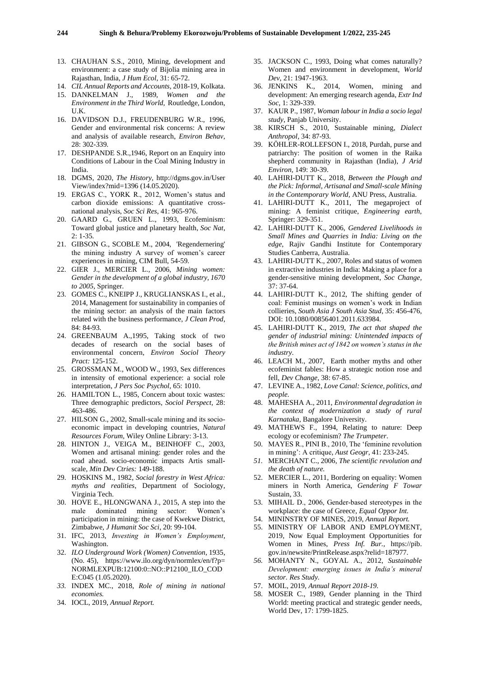- 13. CHAUHAN S.S., 2010, Mining, development and environment: a case study of Bijolia mining area in Rajasthan, India, *J Hum Ecol*, 31: 65-72.
- 14. *CIL Annual Reports and Accounts,* 2018-19, Kolkata.
- 15. DANKELMAN J., 1989, *Women and the Environment in the Third World,* Routledge, London, U.K.
- 16. DAVIDSON D.J., FREUDENBURG W.R., 1996, Gender and environmental risk concerns: A review and analysis of available research, *Environ Behav,* 28: 302-339.
- 17. DESHPANDE S.R.,1946, Report on an Enquiry into Conditions of Labour in the Coal Mining Industry in India.
- 18. DGMS, 2020, *The History,* http://dgms.gov.in/User View/index?mid=1396 (14.05.2020).
- 19. ERGAS C., YORK R., 2012, Women's status and carbon dioxide emissions: A quantitative crossnational analysis, *Soc Sci Res*, 41: 965-976.
- 20. GAARD G., GRUEN L., 1993, Ecofeminism: Toward global justice and planetary health, *Soc Nat*, 2: 1-35.
- 21. GIBSON G., SCOBLE M., 2004, 'Regendernering' the mining industry A survey of women's career experiences in mining, CIM Bull, 54-59.
- 22. GIER J., MERCIER L., 2006, *Mining women: Gender in the development of a global industry, 1670 to 2005,* Springer.
- 23. GOMES C., KNEIPP J., KRUGLIANSKAS I., et al., 2014, Management for sustainability in companies of the mining sector: an analysis of the main factors related with the business performance, *J Clean Prod,* 84: 84-93.
- 24. GREENBAUM A.,1995, Taking stock of two decades of research on the social bases of environmental concern, *Environ Sociol Theory Pract:* 125-152.
- 25. GROSSMAN M., WOOD W., 1993, Sex differences in intensity of emotional experience: a social role interpretation, *J Pers Soc Psychol*, 65: 1010.
- 26. HAMILTON L., 1985, Concern about toxic wastes: Three demographic predictors, *Sociol Perspect,* 28: 463-486.
- 27. HILSON G., 2002, Small-scale mining and its socioeconomic impact in developing countries, *Natural Resources Forum,* Wiley Online Library: 3-13.
- 28. HINTON J., VEIGA M., BEINHOFF C., 2003, Women and artisanal mining: gender roles and the road ahead. socio-economic impacts Artis smallscale, *Min Dev Ctries:* 149-188.
- 29. HOSKINS M., 1982, *Social forestry in West Africa: myths and realities*, Department of Sociology, Virginia Tech.
- 30. HOVE E., HLONGWANA J., 2015, A step into the male dominated mining sector: Women's participation in mining: the case of Kwekwe District, Zimbabwe, *J Humanit Soc Sci*, 20: 99-104.
- 31. IFC, 2013, *Investing in Women's Employment,* Washington.
- 32. *ILO Underground Work (Women) Convention*, 1935, (No. 45), https://www.ilo.org/dyn/normlex/en/f?p= NORMLEXPUB:12100:0::NO::P12100\_ILO\_COD E:C045 (1.05.2020).
- *33.* INDEX MC., 2018, *Role of mining in national economies.*
- 34. IOCL, 2019, *Annual Report.*
- 35. JACKSON C., 1993, Doing what comes naturally? Women and environment in development, *World Dev*, 21: 1947-1963.
- 36. JENKINS K., 2014, Women, mining and development: An emerging research agenda, *Extr Ind Soc*, 1: 329-339.
- 37. KAUR P., 1987, *Woman labour in India a socio legal study*, Panjab University.
- 38. KIRSCH S., 2010, Sustainable mining, *Dialect Anthropol,* 34: 87-93.
- 39. KÖHLER-ROLLEFSON I., 2018, Purdah, purse and patriarchy: The position of women in the Raika shepherd community in Rajasthan (India), *J Arid Environ,* 149: 30-39.
- 40. LAHIRI-DUTT K., 2018, *Between the Plough and the Pick: Informal, Artisanal and Small-scale Mining in the Contemporary World,* ANU Press, Australia.
- 41. LAHIRI-DUTT K., 2011, The megaproject of mining: A feminist critique, *Engineering earth,* Springer: 329-351.
- 42. LAHIRI-DUTT K., 2006, *Gendered Livelihoods in Small Mines and Quarries in India: Living on the edge*, Rajiv Gandhi Institute for Contemporary Studies Canberra, Australia.
- 43. LAHIRI-DUTT K., 2007, Roles and status of women in extractive industries in India: Making a place for a gender-sensitive mining development, *Soc Change,* 37: 37-64.
- 44. LAHIRI-DUTT K., 2012, The shifting gender of coal: Feminist musings on women's work in Indian collieries, *South Asia J South Asia Stud*, 35: 456-476, DOI: 10.1080/00856401.2011.633984.
- 45. LAHIRI-DUTT K., 2019, *The act that shaped the gender of industrial mining: Unintended impacts of the British mines act of 1842 on women's status in the industry*.
- 46. LEACH M., 2007, Earth mother myths and other ecofeminist fables: How a strategic notion rose and fell, *Dev Change*, 38: 67-85.
- 47. LEVINE A., 1982, *Love Canal: Science, politics, and people.*
- 48. MAHESHA A., 2011, *Environmental degradation in the context of modernization a study of rural Karnataka,* Bangalore University.
- 49. MATHEWS F., 1994, Relating to nature: Deep ecology or ecofeminism? *The Trumpeter*.
- 50. MAYES R., PINI B., 2010, The 'feminine revolution in mining': A critique, *Aust Geogr*, 41: 233-245.
- *51.* MERCHANT C., 2006, *The scientific revolution and the death of nature.*
- 52. MERCIER L., 2011, Bordering on equality: Women miners in North America, *Gendering F Towar*  Sustain, 33.
- 53. MIHAIL D., 2006, Gender‐based stereotypes in the workplace: the case of Greece, *Equal Oppor Int.*
- 54. MININSTRY OF MINES, 2019, *Annual Report.*
- 55. MINISTRY OF LABOR AND EMPLOYMENT, 2019, Now Equal Employment Opportunities for Women in Mines, *Press Inf. Bur.,* https://pib. gov.in/newsite/PrintRelease.aspx?relid=187977.
- *56.* MOHANTY N., GOYAL A., 2012, *Sustainable Development: emerging issues in India's mineral sector. Res Study.*
- 57. MOIL, 2019, *Annual Report 2018-19.*
- 58. MOSER C., 1989, Gender planning in the Third World: meeting practical and strategic gender needs, World Dev, 17: 1799-1825.